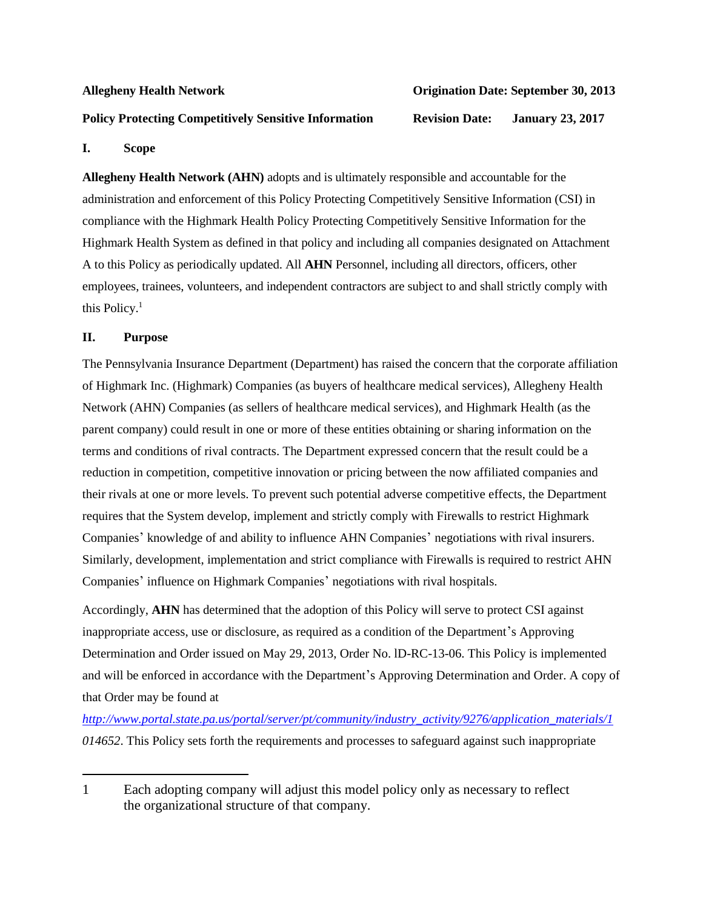# **Policy Protecting Competitively Sensitive Information Revision Date: January 23, 2017**

### **Allegheny Health Network Origination Date: September 30, 2013**

# **I. Scope**

**Allegheny Health Network (AHN)** adopts and is ultimately responsible and accountable for the administration and enforcement of this Policy Protecting Competitively Sensitive Information (CSI) in compliance with the Highmark Health Policy Protecting Competitively Sensitive Information for the Highmark Health System as defined in that policy and including all companies designated on Attachment A to this Policy as periodically updated. All **AHN** Personnel, including all directors, officers, other employees, trainees, volunteers, and independent contractors are subject to and shall strictly comply with this Policy.<sup>1</sup>

# **II. Purpose**

The Pennsylvania Insurance Department (Department) has raised the concern that the corporate affiliation of Highmark Inc. (Highmark) Companies (as buyers of healthcare medical services), Allegheny Health Network (AHN) Companies (as sellers of healthcare medical services), and Highmark Health (as the parent company) could result in one or more of these entities obtaining or sharing information on the terms and conditions of rival contracts. The Department expressed concern that the result could be a reduction in competition, competitive innovation or pricing between the now affiliated companies and their rivals at one or more levels. To prevent such potential adverse competitive effects, the Department requires that the System develop, implement and strictly comply with Firewalls to restrict Highmark Companies' knowledge of and ability to influence AHN Companies' negotiations with rival insurers. Similarly, development, implementation and strict compliance with Firewalls is required to restrict AHN Companies' influence on Highmark Companies' negotiations with rival hospitals.

Accordingly, **AHN** has determined that the adoption of this Policy will serve to protect CSI against inappropriate access, use or disclosure, as required as a condition of the Department's Approving Determination and Order issued on May 29, 2013, Order No. lD-RC-13-06. This Policy is implemented and will be enforced in accordance with the Department's Approving Determination and Order. A copy of that Order may be found at

*[http://www.portal.state.pa.us/portal/server/pt/community/industry\\_activity/9276/application\\_materials/1](http://www.portal.state.pa.us/portal/server/pt/community/industry_activity/9276/application_materials/1) 014652*. This Policy sets forth the requirements and processes to safeguard against such inappropriate

<sup>1</sup> Each adopting company will adjust this model policy only as necessary to reflect the organizational structure of that company.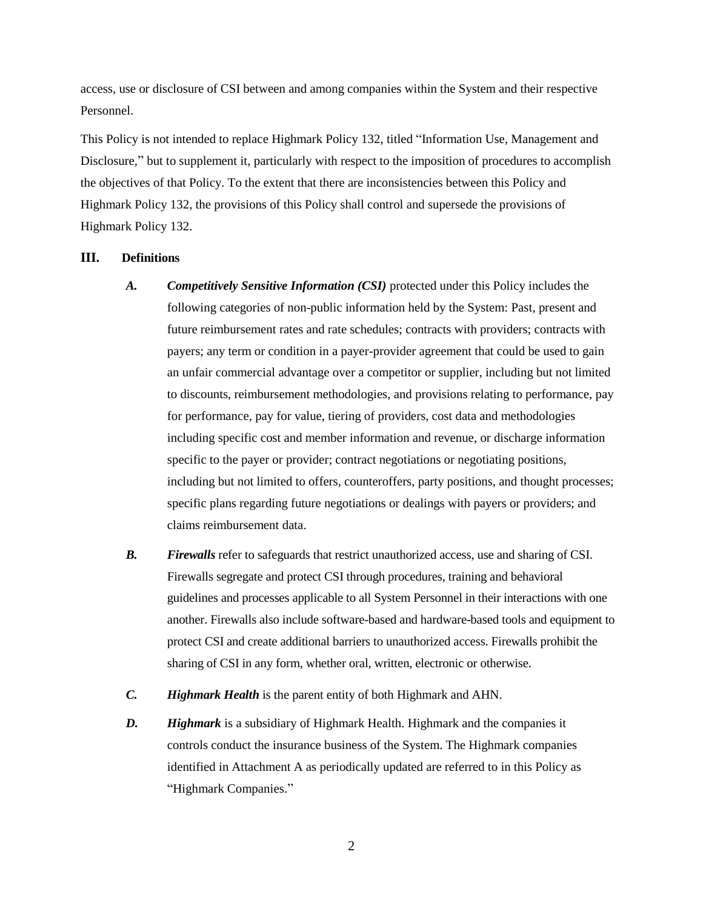access, use or disclosure of CSI between and among companies within the System and their respective Personnel.

This Policy is not intended to replace Highmark Policy 132, titled "Information Use, Management and Disclosure," but to supplement it, particularly with respect to the imposition of procedures to accomplish the objectives of that Policy. To the extent that there are inconsistencies between this Policy and Highmark Policy 132, the provisions of this Policy shall control and supersede the provisions of Highmark Policy 132.

# **III. Definitions**

- *A. Competitively Sensitive Information (CSI)* protected under this Policy includes the following categories of non-public information held by the System: Past, present and future reimbursement rates and rate schedules; contracts with providers; contracts with payers; any term or condition in a payer-provider agreement that could be used to gain an unfair commercial advantage over a competitor or supplier, including but not limited to discounts, reimbursement methodologies, and provisions relating to performance, pay for performance, pay for value, tiering of providers, cost data and methodologies including specific cost and member information and revenue, or discharge information specific to the payer or provider; contract negotiations or negotiating positions, including but not limited to offers, counteroffers, party positions, and thought processes; specific plans regarding future negotiations or dealings with payers or providers; and claims reimbursement data.
- *B. Firewalls* refer to safeguards that restrict unauthorized access, use and sharing of CSI. Firewalls segregate and protect CSI through procedures, training and behavioral guidelines and processes applicable to all System Personnel in their interactions with one another. Firewalls also include software-based and hardware-based tools and equipment to protect CSI and create additional barriers to unauthorized access. Firewalls prohibit the sharing of CSI in any form, whether oral, written, electronic or otherwise.
- *C. Highmark Health* is the parent entity of both Highmark and AHN.
- *D. Highmark* is a subsidiary of Highmark Health. Highmark and the companies it controls conduct the insurance business of the System. The Highmark companies identified in Attachment A as periodically updated are referred to in this Policy as "Highmark Companies."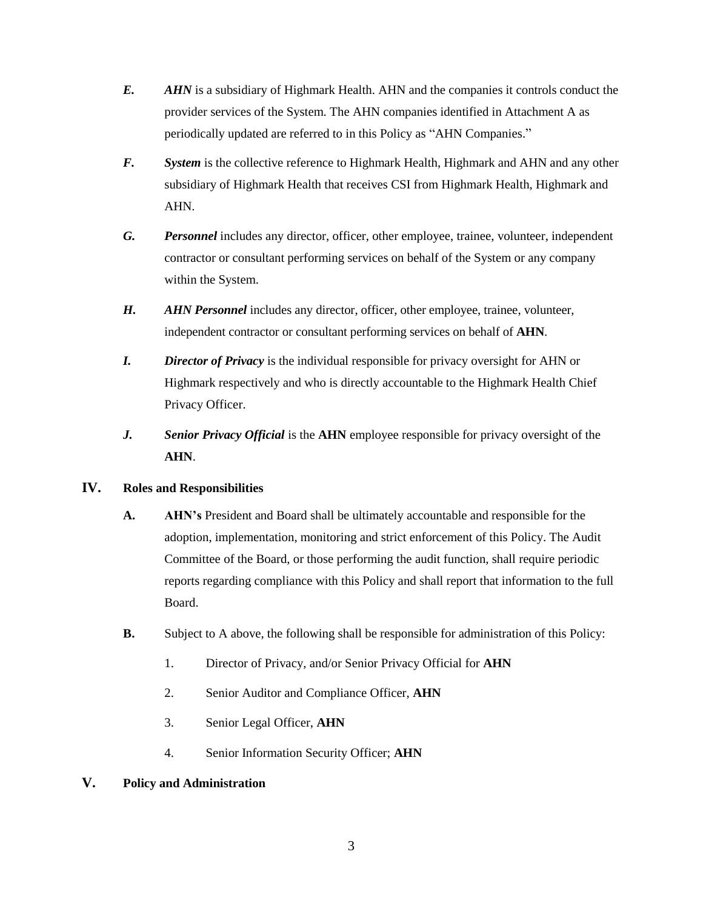- *E. AHN* is a subsidiary of Highmark Health. AHN and the companies it controls conduct the provider services of the System. The AHN companies identified in Attachment A as periodically updated are referred to in this Policy as "AHN Companies."
- *F. System* is the collective reference to Highmark Health, Highmark and AHN and any other subsidiary of Highmark Health that receives CSI from Highmark Health, Highmark and AHN.
- *G. Personnel* includes any director, officer, other employee, trainee, volunteer, independent contractor or consultant performing services on behalf of the System or any company within the System.
- *H. AHN Personnel includes any director, officer, other employee, trainee, volunteer,* independent contractor or consultant performing services on behalf of **AHN**.
- *I. Director of Privacy* is the individual responsible for privacy oversight for AHN or Highmark respectively and who is directly accountable to the Highmark Health Chief Privacy Officer.
- *J. Senior Privacy Official* is the **AHN** employee responsible for privacy oversight of the **AHN**.

# **IV. Roles and Responsibilities**

- **A. AHN's** President and Board shall be ultimately accountable and responsible for the adoption, implementation, monitoring and strict enforcement of this Policy. The Audit Committee of the Board, or those performing the audit function, shall require periodic reports regarding compliance with this Policy and shall report that information to the full Board.
- **B.** Subject to A above, the following shall be responsible for administration of this Policy:
	- 1. Director of Privacy, and/or Senior Privacy Official for **AHN**
	- 2. Senior Auditor and Compliance Officer, **AHN**
	- 3. Senior Legal Officer, **AHN**
	- 4. Senior Information Security Officer; **AHN**
- **V. Policy and Administration**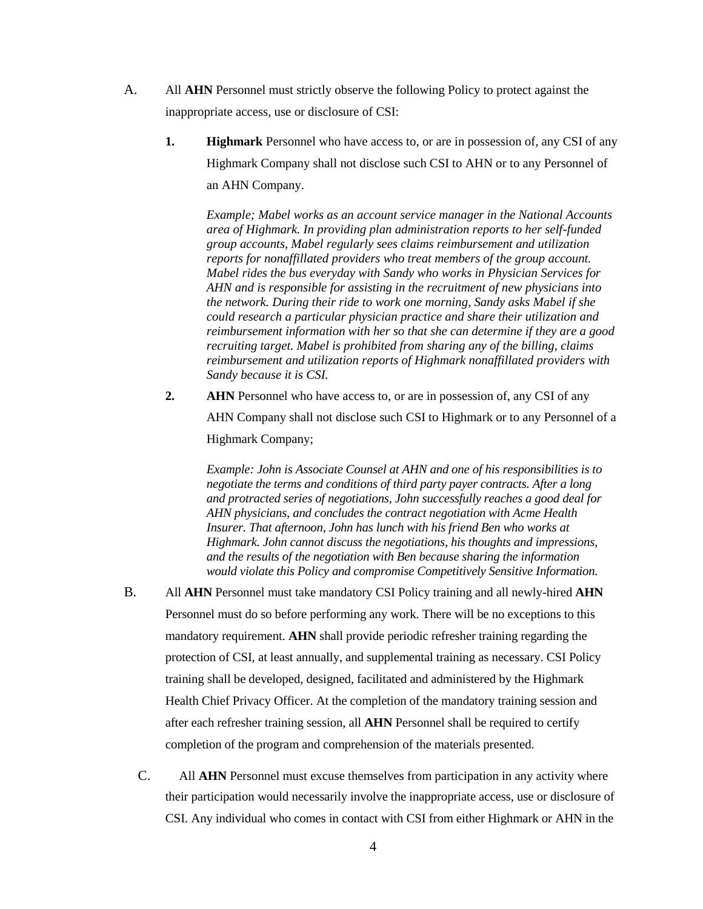- A. All **AHN** Personnel must strictly observe the following Policy to protect against the inappropriate access, use or disclosure of CSI:
	- **1. Highmark** Personnel who have access to, or are in possession of, any CSI of any Highmark Company shall not disclose such CSI to AHN or to any Personnel of an AHN Company.

*Example; Mabel works as an account service manager in the National Accounts area of Highmark. In providing plan administration reports to her self-funded group accounts, Mabel regularly sees claims reimbursement and utilization reports for nonaffillated providers who treat members of the group account. Mabel rides the bus everyday with Sandy who works in Physician Services for AHN and is responsible for assisting in the recruitment of new physicians into the network. During their ride to work one morning, Sandy asks Mabel if she could research a particular physician practice and share their utilization and reimbursement information with her so that she can determine if they are a good recruiting target. Mabel is prohibited from sharing any of the billing, claims reimbursement and utilization reports of Highmark nonaffillated providers with Sandy because it is CSI.*

**2. AHN** Personnel who have access to, or are in possession of, any CSI of any AHN Company shall not disclose such CSI to Highmark or to any Personnel of a Highmark Company;

*Example: John is Associate Counsel at AHN and one of his responsibilities is to negotiate the terms and conditions of third party payer contracts. After a long and protracted series of negotiations, John successfully reaches a good deal for AHN physicians, and concludes the contract negotiation with Acme Health Insurer. That afternoon, John has lunch with his friend Ben who works at Highmark. John cannot discuss the negotiations, his thoughts and impressions, and the results of the negotiation with Ben because sharing the information would violate this Policy and compromise Competitively Sensitive Information.*

- B. All **AHN** Personnel must take mandatory CSI Policy training and all newly-hired **AHN**  Personnel must do so before performing any work. There will be no exceptions to this mandatory requirement. **AHN** shall provide periodic refresher training regarding the protection of CSI, at least annually, and supplemental training as necessary. CSI Policy training shall be developed, designed, facilitated and administered by the Highmark Health Chief Privacy Officer. At the completion of the mandatory training session and after each refresher training session, all **AHN** Personnel shall be required to certify completion of the program and comprehension of the materials presented.
	- C. All **AHN** Personnel must excuse themselves from participation in any activity where their participation would necessarily involve the inappropriate access, use or disclosure of CSI. Any individual who comes in contact with CSI from either Highmark or AHN in the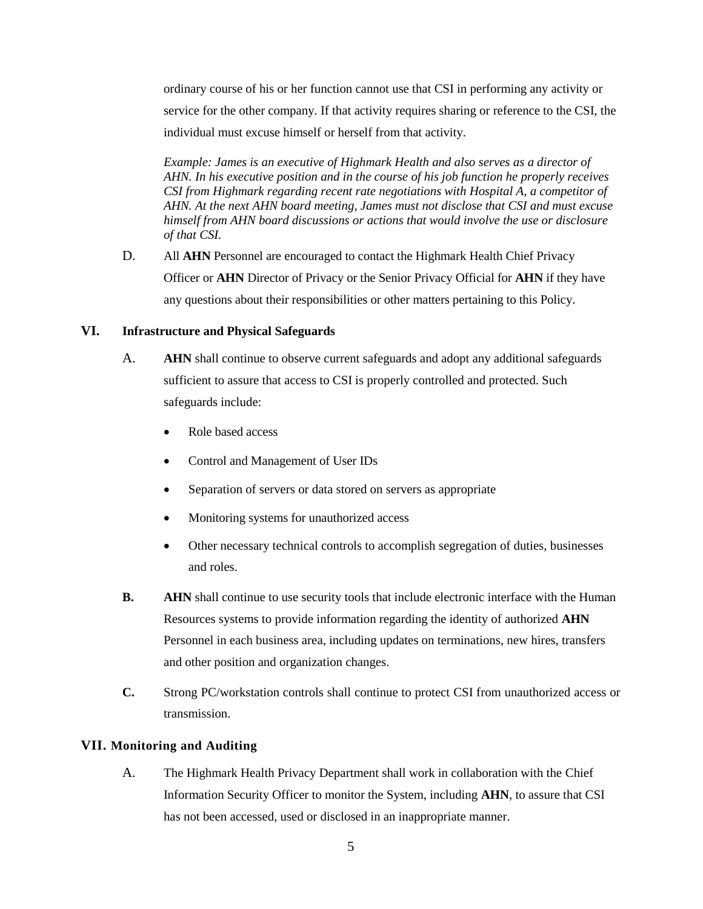ordinary course of his or her function cannot use that CSI in performing any activity or service for the other company. If that activity requires sharing or reference to the CSI, the individual must excuse himself or herself from that activity.

*Example: James is an executive of Highmark Health and also serves as a director of AHN. In his executive position and in the course of his job function he properly receives CSI from Highmark regarding recent rate negotiations with Hospital A, a competitor of AHN. At the next AHN board meeting, James must not disclose that CSI and must excuse himself from AHN board discussions or actions that would involve the use or disclosure of that CSI.*

D. All **AHN** Personnel are encouraged to contact the Highmark Health Chief Privacy Officer or **AHN** Director of Privacy or the Senior Privacy Official for **AHN** if they have any questions about their responsibilities or other matters pertaining to this Policy.

# **VI. Infrastructure and Physical Safeguards**

- A. **AHN** shall continue to observe current safeguards and adopt any additional safeguards sufficient to assure that access to CSI is properly controlled and protected. Such safeguards include:
	- Role based access
	- Control and Management of User IDs
	- Separation of servers or data stored on servers as appropriate
	- Monitoring systems for unauthorized access
	- Other necessary technical controls to accomplish segregation of duties, businesses and roles.
- **B. AHN** shall continue to use security tools that include electronic interface with the Human Resources systems to provide information regarding the identity of authorized **AHN**  Personnel in each business area, including updates on terminations, new hires, transfers and other position and organization changes.
- **C.** Strong PC/workstation controls shall continue to protect CSI from unauthorized access or transmission.

# **VII. Monitoring and Auditing**

A. The Highmark Health Privacy Department shall work in collaboration with the Chief Information Security Officer to monitor the System, including **AHN**, to assure that CSI has not been accessed, used or disclosed in an inappropriate manner.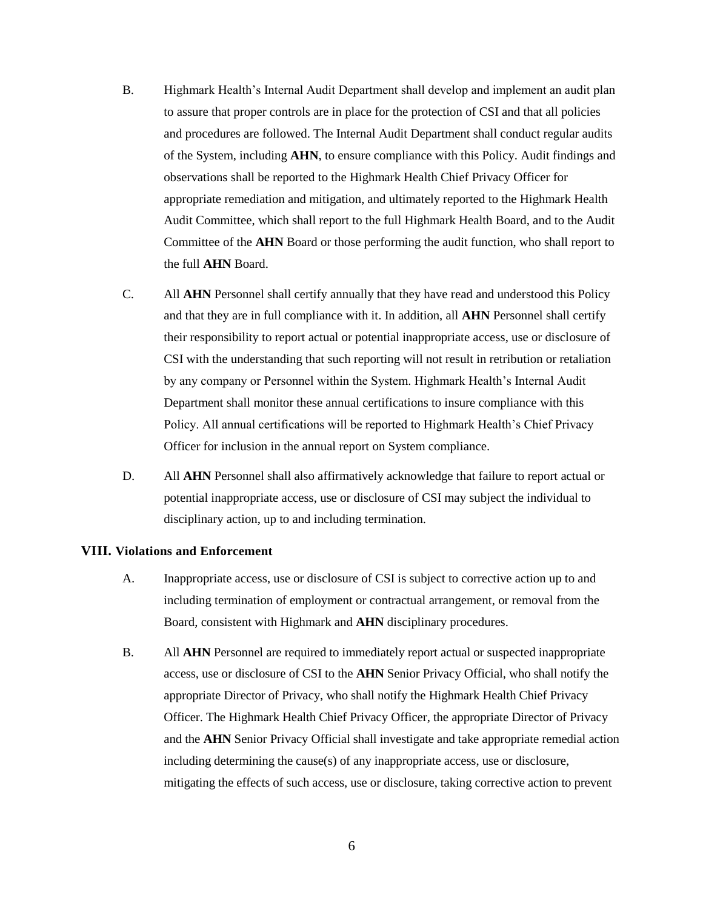- B. Highmark Health's Internal Audit Department shall develop and implement an audit plan to assure that proper controls are in place for the protection of CSI and that all policies and procedures are followed. The Internal Audit Department shall conduct regular audits of the System, including **AHN**, to ensure compliance with this Policy. Audit findings and observations shall be reported to the Highmark Health Chief Privacy Officer for appropriate remediation and mitigation, and ultimately reported to the Highmark Health Audit Committee, which shall report to the full Highmark Health Board, and to the Audit Committee of the **AHN** Board or those performing the audit function, who shall report to the full **AHN** Board.
- C. All **AHN** Personnel shall certify annually that they have read and understood this Policy and that they are in full compliance with it. In addition, all **AHN** Personnel shall certify their responsibility to report actual or potential inappropriate access, use or disclosure of CSI with the understanding that such reporting will not result in retribution or retaliation by any company or Personnel within the System. Highmark Health's Internal Audit Department shall monitor these annual certifications to insure compliance with this Policy. All annual certifications will be reported to Highmark Health's Chief Privacy Officer for inclusion in the annual report on System compliance.
- D. All **AHN** Personnel shall also affirmatively acknowledge that failure to report actual or potential inappropriate access, use or disclosure of CSI may subject the individual to disciplinary action, up to and including termination.

#### **VIII. Violations and Enforcement**

- A. Inappropriate access, use or disclosure of CSI is subject to corrective action up to and including termination of employment or contractual arrangement, or removal from the Board, consistent with Highmark and **AHN** disciplinary procedures.
- B. All **AHN** Personnel are required to immediately report actual or suspected inappropriate access, use or disclosure of CSI to the **AHN** Senior Privacy Official, who shall notify the appropriate Director of Privacy, who shall notify the Highmark Health Chief Privacy Officer. The Highmark Health Chief Privacy Officer, the appropriate Director of Privacy and the **AHN** Senior Privacy Official shall investigate and take appropriate remedial action including determining the cause(s) of any inappropriate access, use or disclosure, mitigating the effects of such access, use or disclosure, taking corrective action to prevent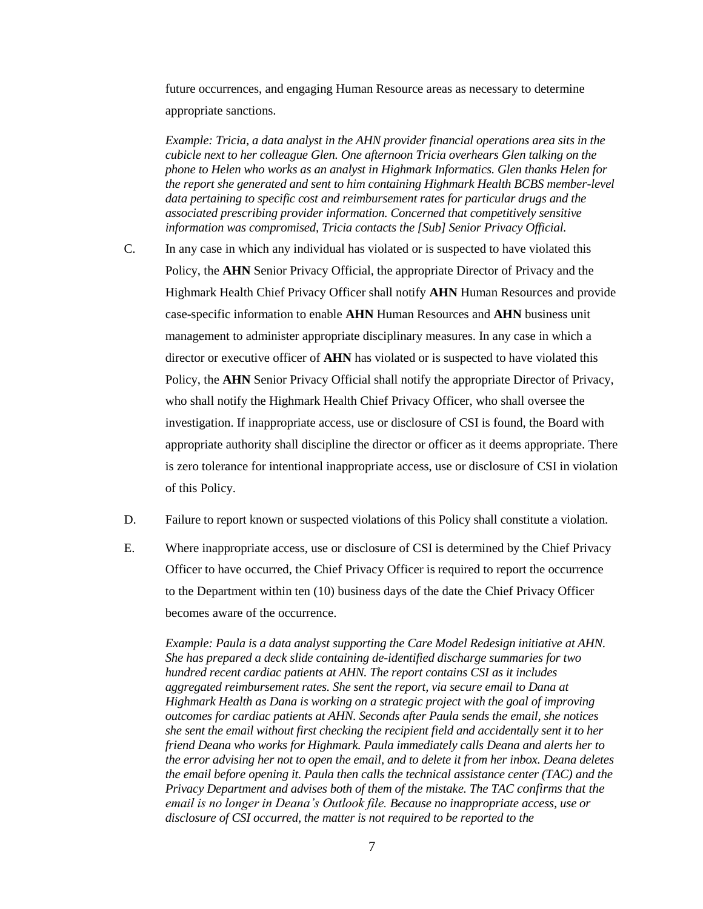future occurrences, and engaging Human Resource areas as necessary to determine appropriate sanctions.

*Example: Tricia, a data analyst in the AHN provider financial operations area sits in the cubicle next to her colleague Glen. One afternoon Tricia overhears Glen talking on the phone to Helen who works as an analyst in Highmark Informatics. Glen thanks Helen for the report she generated and sent to him containing Highmark Health BCBS member-level data pertaining to specific cost and reimbursement rates for particular drugs and the associated prescribing provider information. Concerned that competitively sensitive information was compromised, Tricia contacts the [Sub] Senior Privacy Official.*

- C. In any case in which any individual has violated or is suspected to have violated this Policy, the **AHN** Senior Privacy Official, the appropriate Director of Privacy and the Highmark Health Chief Privacy Officer shall notify **AHN** Human Resources and provide case-specific information to enable **AHN** Human Resources and **AHN** business unit management to administer appropriate disciplinary measures. In any case in which a director or executive officer of **AHN** has violated or is suspected to have violated this Policy, the **AHN** Senior Privacy Official shall notify the appropriate Director of Privacy, who shall notify the Highmark Health Chief Privacy Officer, who shall oversee the investigation. If inappropriate access, use or disclosure of CSI is found, the Board with appropriate authority shall discipline the director or officer as it deems appropriate. There is zero tolerance for intentional inappropriate access, use or disclosure of CSI in violation of this Policy.
- D. Failure to report known or suspected violations of this Policy shall constitute a violation.
- E. Where inappropriate access, use or disclosure of CSI is determined by the Chief Privacy Officer to have occurred, the Chief Privacy Officer is required to report the occurrence to the Department within ten (10) business days of the date the Chief Privacy Officer becomes aware of the occurrence.

*Example: Paula is a data analyst supporting the Care Model Redesign initiative at AHN. She has prepared a deck slide containing de-identified discharge summaries for two hundred recent cardiac patients at AHN. The report contains CSI as it includes aggregated reimbursement rates. She sent the report, via secure email to Dana at Highmark Health as Dana is working on a strategic project with the goal of improving outcomes for cardiac patients at AHN. Seconds after Paula sends the email, she notices she sent the email without first checking the recipient field and accidentally sent it to her friend Deana who works for Highmark. Paula immediately calls Deana and alerts her to the error advising her not to open the email, and to delete it from her inbox. Deana deletes the email before opening it. Paula then calls the technical assistance center (TAC) and the Privacy Department and advises both of them of the mistake. The TAC confirms that the email is no longer in Deana's Outlook file. Because no inappropriate access, use or disclosure of CSI occurred, the matter is not required to be reported to the*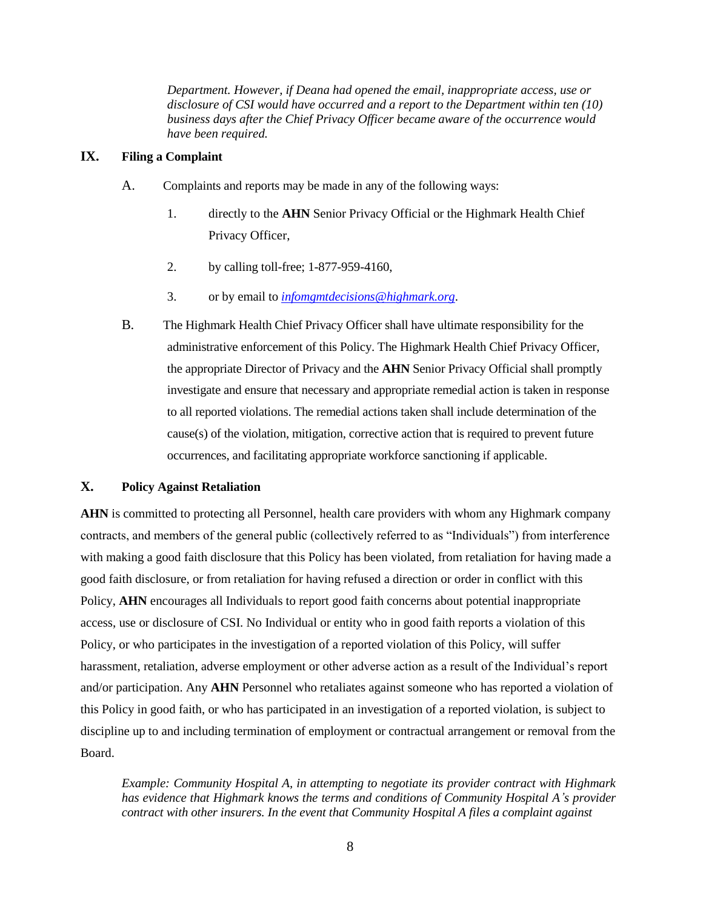*Department. However, if Deana had opened the email, inappropriate access, use or disclosure of CSI would have occurred and a report to the Department within ten (10) business days after the Chief Privacy Officer became aware of the occurrence would have been required.*

# **IX. Filing a Complaint**

- A. Complaints and reports may be made in any of the following ways:
	- 1. directly to the **AHN** Senior Privacy Official or the Highmark Health Chief Privacy Officer,
	- 2. by calling toll-free; 1-877-959-4160,
	- 3. or by email to *[infomgmtdecisions@highmark.org](mailto:infomgmtdecisions@highmark.org)*.
- B. The Highmark Health Chief Privacy Officer shall have ultimate responsibility for the administrative enforcement of this Policy. The Highmark Health Chief Privacy Officer, the appropriate Director of Privacy and the **AHN** Senior Privacy Official shall promptly investigate and ensure that necessary and appropriate remedial action is taken in response to all reported violations. The remedial actions taken shall include determination of the cause(s) of the violation, mitigation, corrective action that is required to prevent future occurrences, and facilitating appropriate workforce sanctioning if applicable.

# **X. Policy Against Retaliation**

**AHN** is committed to protecting all Personnel, health care providers with whom any Highmark company contracts, and members of the general public (collectively referred to as "Individuals") from interference with making a good faith disclosure that this Policy has been violated, from retaliation for having made a good faith disclosure, or from retaliation for having refused a direction or order in conflict with this Policy, **AHN** encourages all Individuals to report good faith concerns about potential inappropriate access, use or disclosure of CSI. No Individual or entity who in good faith reports a violation of this Policy, or who participates in the investigation of a reported violation of this Policy, will suffer harassment, retaliation, adverse employment or other adverse action as a result of the Individual's report and/or participation. Any **AHN** Personnel who retaliates against someone who has reported a violation of this Policy in good faith, or who has participated in an investigation of a reported violation, is subject to discipline up to and including termination of employment or contractual arrangement or removal from the Board.

*Example: Community Hospital A, in attempting to negotiate its provider contract with Highmark has evidence that Highmark knows the terms and conditions of Community Hospital A's provider contract with other insurers. In the event that Community Hospital A files a complaint against*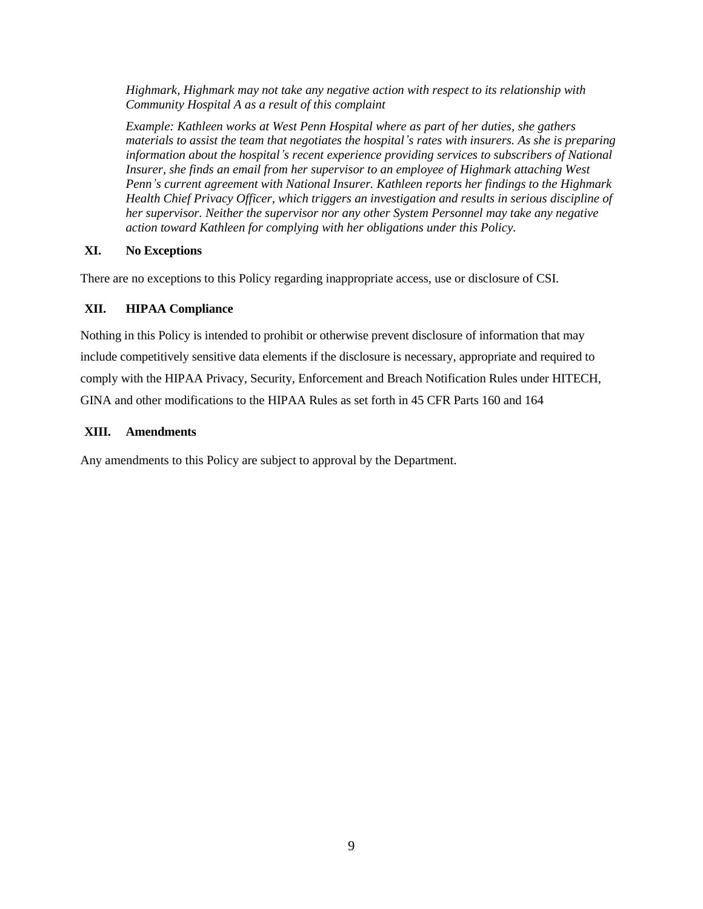*Highmark, Highmark may not take any negative action with respect to its relationship with Community Hospital A as a result of this complaint*

*Example: Kathleen works at West Penn Hospital where as part of her duties, she gathers materials to assist the team that negotiates the hospital's rates with insurers. As she is preparing information about the hospital's recent experience providing services to subscribers of National Insurer, she finds an email from her supervisor to an employee of Highmark attaching West Penn's current agreement with National Insurer. Kathleen reports her findings to the Highmark Health Chief Privacy Officer, which triggers an investigation and results in serious discipline of her supervisor. Neither the supervisor nor any other System Personnel may take any negative action toward Kathleen for complying with her obligations under this Policy.*

# **XI. No Exceptions**

There are no exceptions to this Policy regarding inappropriate access, use or disclosure of CSI.

# **XII. HIPAA Compliance**

Nothing in this Policy is intended to prohibit or otherwise prevent disclosure of information that may include competitively sensitive data elements if the disclosure is necessary, appropriate and required to comply with the HIPAA Privacy, Security, Enforcement and Breach Notification Rules under HITECH, GINA and other modifications to the HIPAA Rules as set forth in 45 CFR Parts 160 and 164

# **XIII. Amendments**

Any amendments to this Policy are subject to approval by the Department.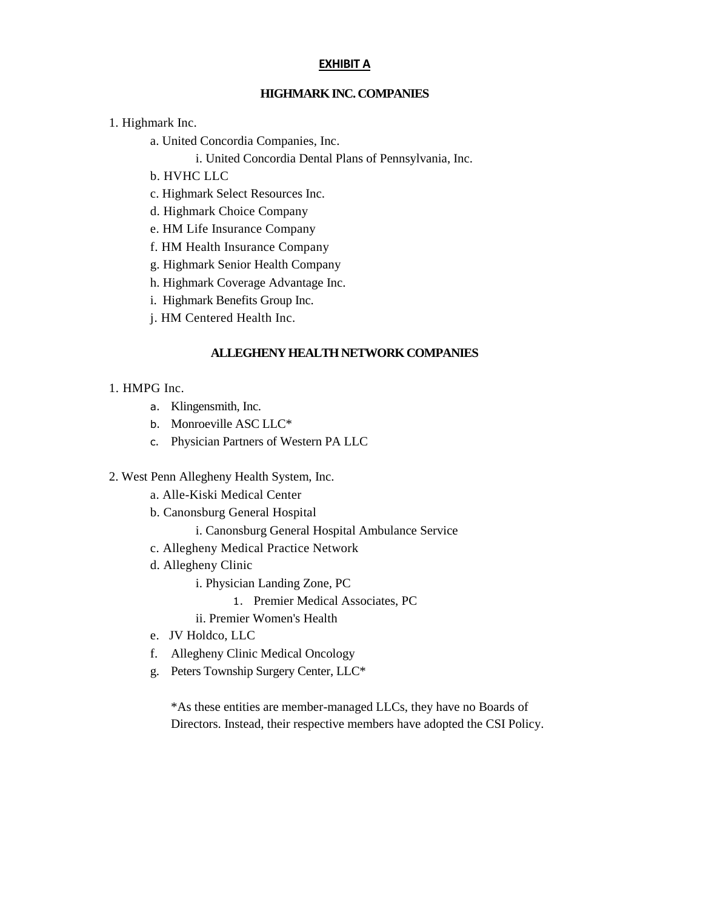#### **EXHIBIT A**

# **HIGHMARK INC. COMPANIES**

1. Highmark Inc.

a. United Concordia Companies, Inc.

i. United Concordia Dental Plans of Pennsylvania, Inc.

- b. HVHC LLC
- c. Highmark Select Resources Inc.
- d. Highmark Choice Company
- e. HM Life Insurance Company
- f. HM Health Insurance Company
- g. Highmark Senior Health Company
- h. Highmark Coverage Advantage Inc.
- i. Highmark Benefits Group Inc.
- j. HM Centered Health Inc.

# **ALLEGHENY HEALTH NETWORK COMPANIES**

#### 1. HMPG Inc.

- a. Klingensmith, Inc.
- b. Monroeville ASC LLC\*
- c. Physician Partners of Western PA LLC
- 2. West Penn Allegheny Health System, Inc.
	- a. Alle-Kiski Medical Center
	- b. Canonsburg General Hospital
		- i. Canonsburg General Hospital Ambulance Service
	- c. Allegheny Medical Practice Network
	- d. Allegheny Clinic
		- i. Physician Landing Zone, PC
			- 1. Premier Medical Associates, PC

ii. Premier Women's Health

- e. JV Holdco, LLC
- f. Allegheny Clinic Medical Oncology
- g. Peters Township Surgery Center, LLC\*

\*As these entities are member-managed LLCs, they have no Boards of Directors. Instead, their respective members have adopted the CSI Policy.